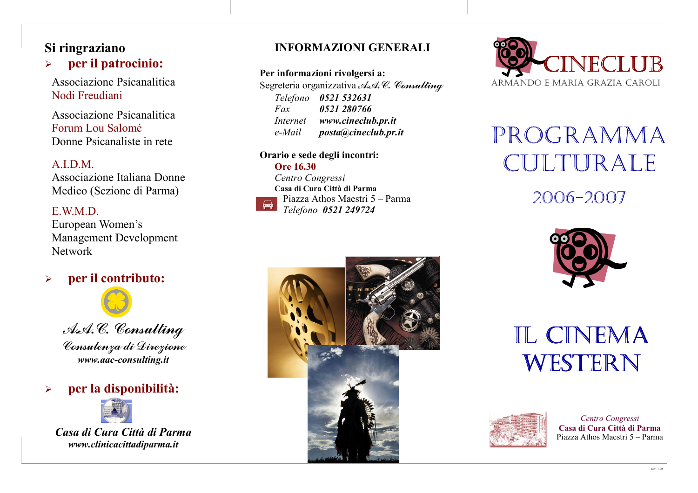# Si ringraziano per il patrocinio:

Associazione Psicanalitica Nodi Freudiani

Associazione Psicanalitica Forum Lou Salomé Donne Psicanaliste in rete

## AIDM

Associazione Italiana Donne Medico (Sezione di Parma)

#### $E$  WMD

European Women's **Management Development Network** 

# per il contributo:



A.A.C. Consulting Consulenza di Direzione www.aac-consulting.it

# per la disponibilità:



Casa di Cura Città di Parma www.clinicacittadiparma.it

## **INFORMAZIONI GENERALI**

Per informazioni rivolgersi a: Segreteria organizzativa A.A.C. Consulting Telefono 0521 532631  $Fax$ 0521 280766 www.cineclub.pr.it Internet  $e$ -*Mail* posta@cineclub.pr.it

Orario e sede degli incontri: **Ore 16.30** Centro Congressi Casa di Cura Città di Parma Piazza Athos Maestri 5 – Parma Telefono 0521 249724





# PROGRAMMA CULTURALE

2006-2007



**IL CINEMA** WESTERN



Centro Congressi Casa di Cura Città di Parma Piazza Athos Maestri 5 - Parma